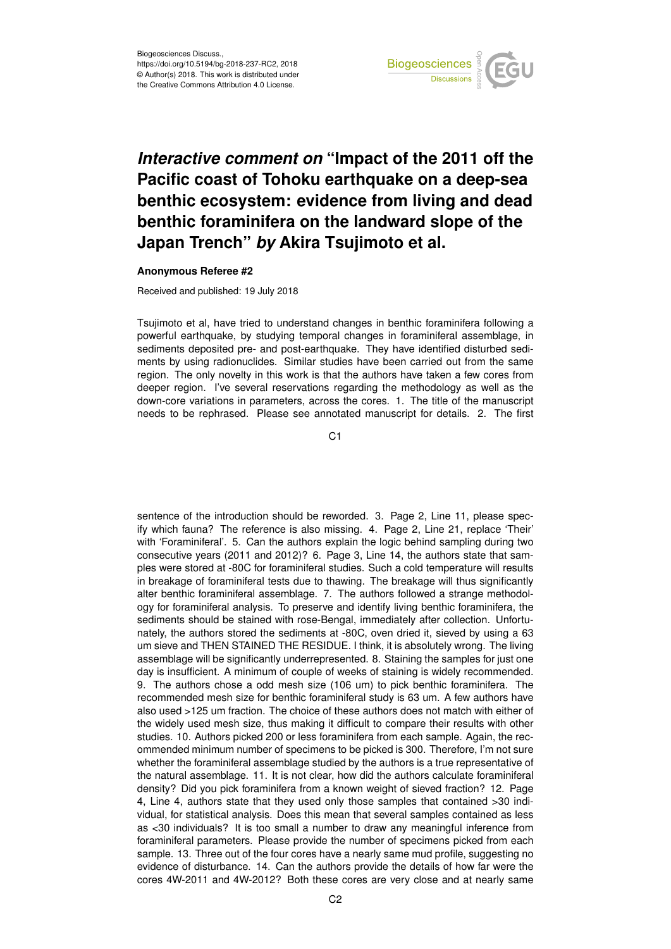

## *Interactive comment on* **"Impact of the 2011 off the Pacific coast of Tohoku earthquake on a deep-sea benthic ecosystem: evidence from living and dead benthic foraminifera on the landward slope of the Japan Trench"** *by* **Akira Tsujimoto et al.**

## **Anonymous Referee #2**

Received and published: 19 July 2018

Tsujimoto et al, have tried to understand changes in benthic foraminifera following a powerful earthquake, by studying temporal changes in foraminiferal assemblage, in sediments deposited pre- and post-earthquake. They have identified disturbed sediments by using radionuclides. Similar studies have been carried out from the same region. The only novelty in this work is that the authors have taken a few cores from deeper region. I've several reservations regarding the methodology as well as the down-core variations in parameters, across the cores. 1. The title of the manuscript needs to be rephrased. Please see annotated manuscript for details. 2. The first

C<sub>1</sub>

sentence of the introduction should be reworded. 3. Page 2, Line 11, please specify which fauna? The reference is also missing. 4. Page 2, Line 21, replace 'Their' with 'Foraminiferal'. 5. Can the authors explain the logic behind sampling during two consecutive years (2011 and 2012)? 6. Page 3, Line 14, the authors state that samples were stored at -80C for foraminiferal studies. Such a cold temperature will results in breakage of foraminiferal tests due to thawing. The breakage will thus significantly alter benthic foraminiferal assemblage. 7. The authors followed a strange methodology for foraminiferal analysis. To preserve and identify living benthic foraminifera, the sediments should be stained with rose-Bengal, immediately after collection. Unfortunately, the authors stored the sediments at -80C, oven dried it, sieved by using a 63 um sieve and THEN STAINED THE RESIDUE. I think, it is absolutely wrong. The living assemblage will be significantly underrepresented. 8. Staining the samples for just one day is insufficient. A minimum of couple of weeks of staining is widely recommended. 9. The authors chose a odd mesh size (106 um) to pick benthic foraminifera. The recommended mesh size for benthic foraminiferal study is 63 um. A few authors have also used >125 um fraction. The choice of these authors does not match with either of the widely used mesh size, thus making it difficult to compare their results with other studies. 10. Authors picked 200 or less foraminifera from each sample. Again, the recommended minimum number of specimens to be picked is 300. Therefore, I'm not sure whether the foraminiferal assemblage studied by the authors is a true representative of the natural assemblage. 11. It is not clear, how did the authors calculate foraminiferal density? Did you pick foraminifera from a known weight of sieved fraction? 12. Page 4, Line 4, authors state that they used only those samples that contained >30 individual, for statistical analysis. Does this mean that several samples contained as less as <30 individuals? It is too small a number to draw any meaningful inference from foraminiferal parameters. Please provide the number of specimens picked from each sample. 13. Three out of the four cores have a nearly same mud profile, suggesting no evidence of disturbance. 14. Can the authors provide the details of how far were the cores 4W-2011 and 4W-2012? Both these cores are very close and at nearly same